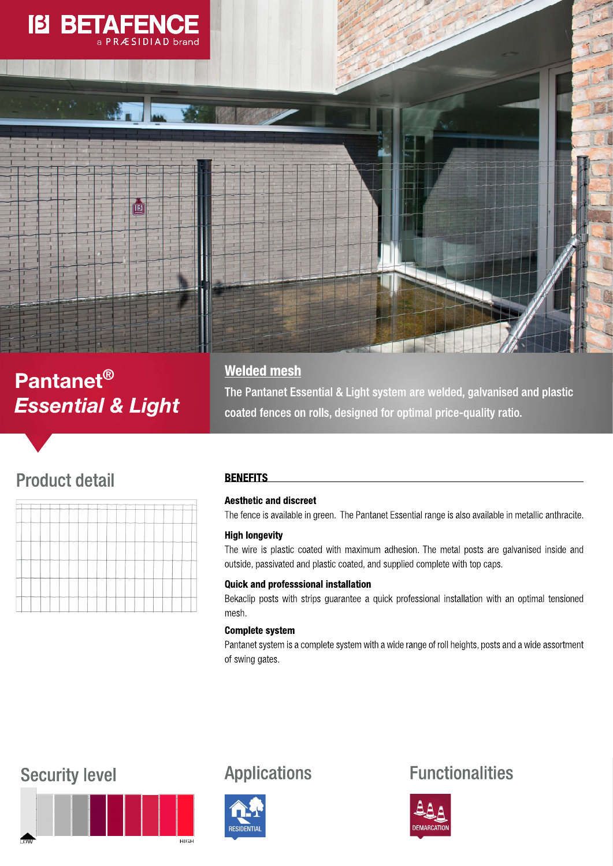

# Pantanet<sup>®</sup> **Essential & Light**

# **Welded mesh**

The Pantanet Essential & Light system are welded, galvanised and plastic coated fences on rolls, designed for optimal price-quality ratio.

# **Product detail**

|   |    |  |                    |  |        |     |  |  | ┈  | $\overline{\phantom{a}}$ | $\sim$ | --- |    |  |  |  |
|---|----|--|--------------------|--|--------|-----|--|--|----|--------------------------|--------|-----|----|--|--|--|
|   |    |  |                    |  |        |     |  |  |    |                          |        |     | -- |  |  |  |
|   |    |  |                    |  |        |     |  |  | 58 |                          |        |     |    |  |  |  |
| - | -- |  | <del>-------</del> |  |        | ___ |  |  |    |                          |        |     |    |  |  |  |
|   |    |  |                    |  | $\sim$ |     |  |  |    |                          |        |     |    |  |  |  |
|   |    |  |                    |  |        |     |  |  |    |                          |        |     |    |  |  |  |

## **BENEFITS**

## **Aesthetic and discreet**

The fence is available in green. The Pantanet Essential range is also available in metallic anthracite.

## **High longevity**

The wire is plastic coated with maximum adhesion. The metal posts are galvanised inside and outside, passivated and plastic coated, and supplied complete with top caps.

## **Quick and professsional installation**

Bekaclip posts with strips guarantee a quick professional installation with an optimal tensioned mesh.

## **Complete system**

Pantanet system is a complete system with a wide range of roll heights, posts and a wide assortment of swing gates.

# **Security level**





**Applications** 

# **Functionalities**